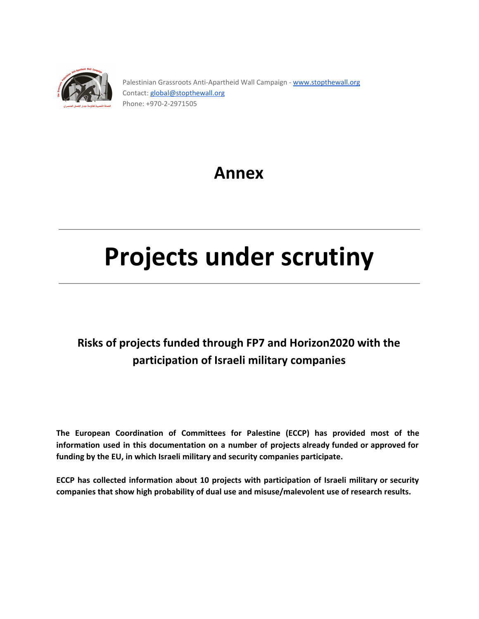

Palestinian Grassroots Anti-Apartheid Wall Campaign - [www.stopthewall.org](http://www.stopthewall.org/) Contact: [global@stopthewall.org](mailto:global@stopthewall.org) Phone: +970-2-2971505

## **Annex**

# **Projects under scrutiny**

## **Risks of projects funded through FP7 and Horizon2020 with the participation of Israeli military companies**

**The European Coordination of Committees for Palestine (ECCP) has provided most of the information used in this documentation on a number of projects already funded or approved for funding by the EU, in which Israeli military and security companies participate.**

**ECCP has collected information about 10 projects with participation of Israeli military or security companies that show high probability of dual use and misuse/malevolent use of research results.**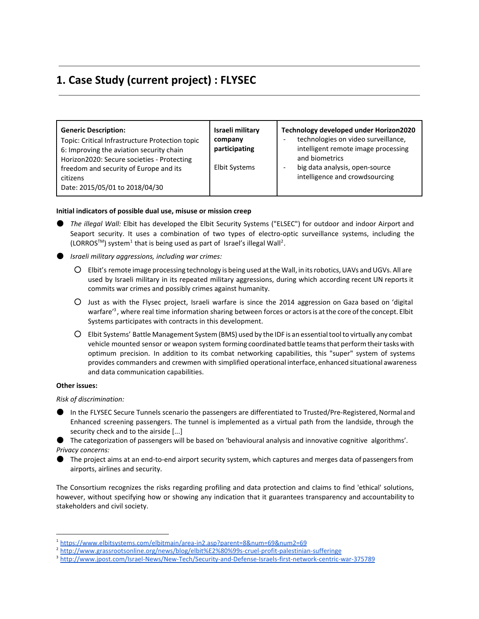## **1. Case Study (current project) : FLYSEC**

| <b>Generic Description:</b><br>Topic: Critical Infrastructure Protection topic<br>6: Improving the aviation security chain<br>Horizon2020: Secure societies - Protecting<br>freedom and security of Europe and its<br>citizens<br>Date: 2015/05/01 to 2018/04/30 | Israeli military<br>company<br>participating<br><b>Elbit Systems</b> | Technology developed under Horizon2020<br>technologies on video surveillance,<br>intelligent remote image processing<br>and biometrics<br>big data analysis, open-source<br>intelligence and crowdsourcing |
|------------------------------------------------------------------------------------------------------------------------------------------------------------------------------------------------------------------------------------------------------------------|----------------------------------------------------------------------|------------------------------------------------------------------------------------------------------------------------------------------------------------------------------------------------------------|
|                                                                                                                                                                                                                                                                  |                                                                      |                                                                                                                                                                                                            |

#### **Initial indicators of possible dual use, misuse or mission creep**

- *The illegal Wall:* Elbit has developed the Elbit Security Systems ("ELSEC") for outdoor and indoor Airport and Seaport security. It uses a combination of two types of electro-optic surveillance systems, including the  $(LORROS<sup>TM</sup>)$  system<sup>1</sup> that is being used as part of Israel's illegal Wall<sup>2</sup>.
- *Israeli military aggressions, including war crimes:*
	- Elbit's remote image processing technology is being used atthe Wall, in itsrobotics,UAVs andUGVs. All are used by Israeli military in its repeated military aggressions, during which according recent UN reports it commits war crimes and possibly crimes against humanity.
	- Just as with the Flysec project, Israeli warfare is since the 2014 aggression on Gaza based on 'digital warfare<sup>'3</sup>, where real time information sharing between forces or actors is at the core of the concept. Elbit Systems participates with contracts in this development.
	- Elbit Systems' Battle Management System(BMS) used by the IDF is an essentialtoolto virtually any combat vehicle mounted sensor or weapon system forming coordinated battle teams that perform their tasks with optimum precision. In addition to its combat networking capabilities, this "super" system of systems provides commanders and crewmen with simplified operational interface, enhanced situational awareness and data communication capabilities.

#### **Other issues:**

*Risk of discrimination:*

● In the FLYSEC Secure Tunnels scenario the passengers are differentiated to Trusted/Pre-Registered, Normal and Enhanced screening passengers. The tunnel is implemented as a virtual path from the landside, through the security check and to the airside [...]

● The categorization of passengers will be based on 'behavioural analysis and innovative cognitive algorithms'. *Privacy concerns:*

● The project aims at an end-to-end airport security system, which captures and merges data of passengers from airports, airlines and security.

The Consortium recognizes the risks regarding profiling and data protection and claims to find 'ethical' solutions, however, without specifying how or showing any indication that it guarantees transparency and accountability to stakeholders and civil society.

<sup>&</sup>lt;sup>1</sup> https://www.elbitsystems.com/elbitmain/area-in2.asp?parent=8&num=69&num2=69

<sup>&</sup>lt;sup>2</sup> http://www.grassrootsonline.org/news/blog/elbit%E2%80%99s-cruel-profit-palestinian-sufferinge

<sup>&</sup>lt;sup>3</sup> http://www.jpost.com/Israel-News/New-Tech/Security-and-Defense-Israels-first-network-centric-war-375789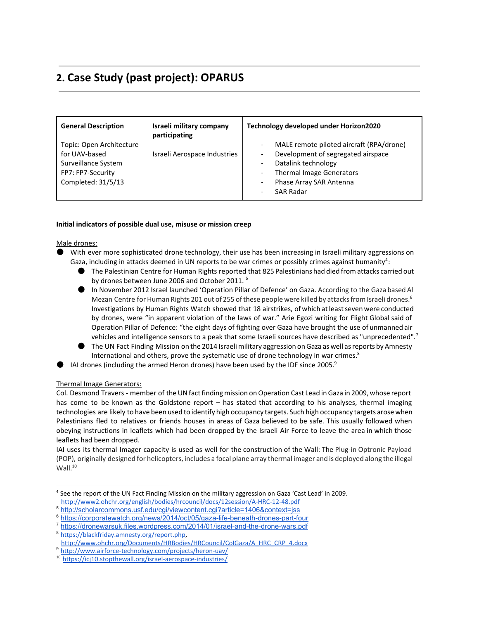## **2. Case Study (past project): OPARUS**

| <b>General Description</b>                                                                                  | Israeli military company<br>participating | Technology developed under Horizon2020                                                                                                                                           |
|-------------------------------------------------------------------------------------------------------------|-------------------------------------------|----------------------------------------------------------------------------------------------------------------------------------------------------------------------------------|
| Topic: Open Architecture<br>for UAV-based<br>Surveillance System<br>FP7: FP7-Security<br>Completed: 31/5/13 | Israeli Aerospace Industries              | MALE remote piloted aircraft (RPA/drone)<br>Development of segregated airspace<br>Datalink technology<br>Thermal Image Generators<br>Phase Array SAR Antenna<br><b>SAR Radar</b> |

#### **Initial indicators of possible dual use, misuse or mission creep**

#### Male drones:

- With ever more sophisticated drone technology, their use has been increasing in Israeli military aggressions on Gaza, including in attacks deemed in UN reports to be war crimes or possibly crimes against humanity<sup>4</sup>:
	- The Palestinian Centre for Human Rights reported that 825 Palestinians had died from attacks carried out by drones between June 2006 and October 2011.<sup>5</sup>
	- In November 2012 Israel launched 'Operation Pillar of Defence' on Gaza. According to the Gaza based Al Mezan Centre for Human Rights 201 out of 255 of these people were killed by attacks from Israeli drones.<sup>6</sup> Investigations by Human Rights Watch showed that 18 airstrikes, of which atleastseven were conducted by drones, were "in apparent violation of the laws of war." Arie Egozi writing for Flight Global said of Operation Pillar of Defence: "the eight days of fighting over Gaza have brought the use of unmanned air vehicles and intelligence sensors to a peak that some Israeli sources have described as "unprecedented".<sup>7</sup>
	- The UN Fact Finding Mission on the 2014 Israeli military aggression on Gaza as well as reports by Amnesty International and others, prove the systematic use of drone technology in war crimes.<sup>8</sup>
- IAI drones (including the armed Heron drones) have been used by the IDF since 2005.<sup>9</sup>

### Thermal Image Generators:

Col. Desmond Travers - member of the UN fact finding mission on Operation Cast Lead in Gaza in 2009, whose report has come to be known as the Goldstone report – has stated that according to his analyses, thermal imaging technologies are likely to have been used to identify high occupancy targets. Such high occupancy targets arose when Palestinians fled to relatives or friends houses in areas of Gaza believed to be safe. This usually followed when obeying instructions in leaflets which had been dropped by the Israeli Air Force to leave the area in which those leaflets had been dropped.

IAI uses its thermal Imager capacity is used as well for the construction of the Wall: The Plug-in Optronic Payload (POP), originally designed for helicopters, includes a focal plane array thermal imager and is deployed along the illegal  $Wall.<sup>10</sup>$ 

<sup>4</sup> See the report of the UN Fact Finding Mission on the military aggression on Gaza 'Cast Lead' in 2009.

http://www2.ohchr.org/english/bodies/hrcouncil/docs/12session/A-HRC-12-48.pdf

<sup>5</sup> <http://scholarcommons.usf.edu/cgi/viewcontent.cgi?article=1406&context=jss>

<sup>6</sup> https://corporatewatch.org/news/2014/oct/05/gaza-life-beneath-drones-part-four

<sup>&</sup>lt;sup>7</sup> https://dronewarsuk.files.wordpress.com/2014/01/israel-and-the-drone-wars.pdf

<sup>8</sup> [https://blackfriday.amnesty.org/report.php,](https://blackfriday.amnesty.org/report.php) [http://www.ohchr.org/Documents/HRBodies/HRCouncil/CoIGaza/A\\_HRC\\_CRP\\_4.docx](http://www.ohchr.org/Documents/HRBodies/HRCouncil/CoIGaza/A_HRC_CRP_4.docx)

<sup>9</sup> http://www.airforce-technology.com/projects/heron-uav/

<sup>&</sup>lt;sup>10</sup> https://icj10.stopthewall.org/israel-aerospace-industries/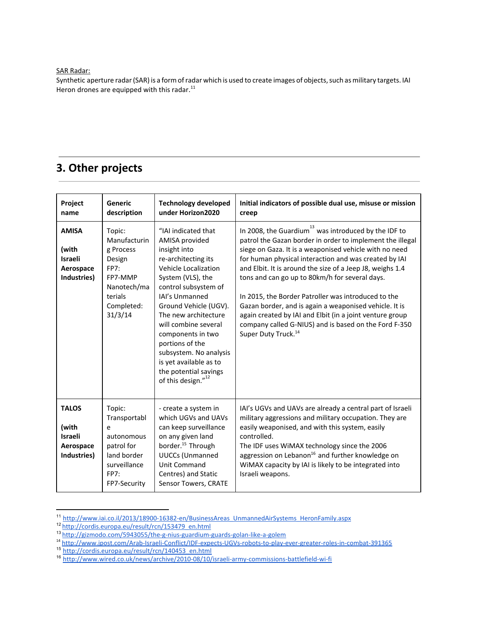SAR Radar:

Synthetic aperture radar (SAR) is a form of radar which is used to create images of objects, such as military targets. IAI Heron drones are equipped with this radar.<sup>11</sup>

## **3. Other projects**

| Project                                                                     | Generic                                                                                                                                   | <b>Technology developed</b>                                                                                                                                                                                                                                                                                                                                                                                              | Initial indicators of possible dual use, misuse or mission                                                                                                                                                                                                                                                                                                                                                                                                                                                                                                                                                                                        |
|-----------------------------------------------------------------------------|-------------------------------------------------------------------------------------------------------------------------------------------|--------------------------------------------------------------------------------------------------------------------------------------------------------------------------------------------------------------------------------------------------------------------------------------------------------------------------------------------------------------------------------------------------------------------------|---------------------------------------------------------------------------------------------------------------------------------------------------------------------------------------------------------------------------------------------------------------------------------------------------------------------------------------------------------------------------------------------------------------------------------------------------------------------------------------------------------------------------------------------------------------------------------------------------------------------------------------------------|
| name<br><b>AMISA</b><br>(with<br><b>Israeli</b><br>Aerospace<br>Industries) | description<br>Topic:<br>Manufacturin<br>g Process<br>Design<br><b>FP7:</b><br>FP7-MMP<br>Nanotech/ma<br>terials<br>Completed:<br>31/3/14 | under Horizon2020<br>"IAI indicated that<br>AMISA provided<br>insight into<br>re-architecting its<br>Vehicle Localization<br>System (VLS), the<br>control subsystem of<br>IAI's Unmanned<br>Ground Vehicle (UGV).<br>The new architecture<br>will combine several<br>components in two<br>portions of the<br>subsystem. No analysis<br>is yet available as to<br>the potential savings<br>of this design." <sup>12</sup> | creep<br>In 2008, the Guardium <sup>13</sup> was introduced by the IDF to<br>patrol the Gazan border in order to implement the illegal<br>siege on Gaza. It is a weaponised vehicle with no need<br>for human physical interaction and was created by IAI<br>and Elbit. It is around the size of a Jeep J8, weighs 1.4<br>tons and can go up to 80km/h for several days.<br>In 2015, the Border Patroller was introduced to the<br>Gazan border, and is again a weaponised vehicle. It is<br>again created by IAI and Elbit (in a joint venture group<br>company called G-NIUS) and is based on the Ford F-350<br>Super Duty Truck. <sup>14</sup> |
| <b>TALOS</b><br>(with<br><b>Israeli</b><br>Aerospace<br>Industries)         | Topic:<br>Transportabl<br>e<br>autonomous<br>patrol for<br>land border<br>surveillance<br><b>FP7:</b><br>FP7-Security                     | - create a system in<br>which UGVs and UAVs<br>can keep surveillance<br>on any given land<br>border. <sup>15</sup> Through<br><b>UUCCs (Unmanned</b><br>Unit Command<br>Centres) and Static<br>Sensor Towers, CRATE                                                                                                                                                                                                      | IAI's UGVs and UAVs are already a central part of Israeli<br>military aggressions and military occupation. They are<br>easily weaponised, and with this system, easily<br>controlled.<br>The IDF uses WiMAX technology since the 2006<br>aggression on Lebanon <sup>16</sup> and further knowledge on<br>WiMAX capacity by IAI is likely to be integrated into<br>Israeli weapons.                                                                                                                                                                                                                                                                |

<sup>&</sup>lt;sup>11</sup> http://www.iai.co.il/2013/18900-16382-en/BusinessAreas\_UnmannedAirSystems\_HeronFamily.aspx

<sup>15</sup> [http://cordis.europa.eu/result/rcn/140453\\_en.html](http://cordis.europa.eu/result/rcn/140453_en.html)

<sup>&</sup>lt;sup>12</sup> [http://cordis.europa.eu/result/rcn/153479\\_en.html](http://cordis.europa.eu/result/rcn/153479_en.html)

<sup>&</sup>lt;sup>13</sup> http://gizmodo.com/5943055/the-g-nius-guardium-guards-golan-like-a-golem

<sup>&</sup>lt;sup>14</sup> http://www.jpost.com/Arab-Israeli-Conflict/IDF-expects-UGVs-robots-to-play-ever-greater-roles-in-combat-391365

<sup>&</sup>lt;sup>16</sup> http://www.wired.co.uk/news/archive/2010-08/10/israeli-army-commissions-battlefield-wi-fi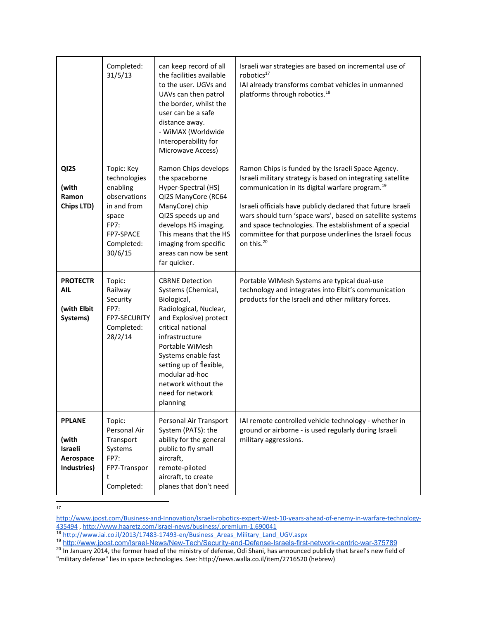|                                                               | Completed:<br>31/5/13                                                                                                               | can keep record of all<br>the facilities available<br>to the user. UGVs and<br>UAVs can then patrol<br>the border, whilst the<br>user can be a safe<br>distance away.<br>- WiMAX (Worldwide<br>Interoperability for<br>Microwave Access)                                                             | Israeli war strategies are based on incremental use of<br>robotics <sup>17</sup><br>IAI already transforms combat vehicles in unmanned<br>platforms through robotics. <sup>18</sup>                                                                                                                                                                                                                                                                          |
|---------------------------------------------------------------|-------------------------------------------------------------------------------------------------------------------------------------|------------------------------------------------------------------------------------------------------------------------------------------------------------------------------------------------------------------------------------------------------------------------------------------------------|--------------------------------------------------------------------------------------------------------------------------------------------------------------------------------------------------------------------------------------------------------------------------------------------------------------------------------------------------------------------------------------------------------------------------------------------------------------|
| QI2S<br>(with<br>Ramon<br>Chips LTD)                          | Topic: Key<br>technologies<br>enabling<br>observations<br>in and from<br>space<br><b>FP7:</b><br>FP7-SPACE<br>Completed:<br>30/6/15 | Ramon Chips develops<br>the spaceborne<br>Hyper-Spectral (HS)<br>QI2S ManyCore (RC64<br>ManyCore) chip<br>QI2S speeds up and<br>develops HS imaging.<br>This means that the HS<br>imaging from specific<br>areas can now be sent<br>far quicker.                                                     | Ramon Chips is funded by the Israeli Space Agency.<br>Israeli military strategy is based on integrating satellite<br>communication in its digital warfare program. <sup>19</sup><br>Israeli officials have publicly declared that future Israeli<br>wars should turn 'space wars', based on satellite systems<br>and space technologies. The establishment of a special<br>committee for that purpose underlines the Israeli focus<br>on this. <sup>20</sup> |
| <b>PROTECTR</b><br>AIL<br>(with Elbit<br>Systems)             | Topic:<br>Railway<br>Security<br><b>FP7:</b><br>FP7-SECURITY<br>Completed:<br>28/2/14                                               | <b>CBRNE Detection</b><br>Systems (Chemical,<br>Biological,<br>Radiological, Nuclear,<br>and Explosive) protect<br>critical national<br>infrastructure<br>Portable WiMesh<br>Systems enable fast<br>setting up of flexible,<br>modular ad-hoc<br>network without the<br>need for network<br>planning | Portable WIMesh Systems are typical dual-use<br>technology and integrates into Elbit's communication<br>products for the Israeli and other military forces.                                                                                                                                                                                                                                                                                                  |
| <b>PPLANE</b><br>(with<br>Israeli<br>Aerospace<br>Industries) | Topic:<br>Personal Air<br>Transport<br>Systems<br><b>FP7:</b><br>FP7-Transpor<br>t<br>Completed:                                    | Personal Air Transport<br>System (PATS): the<br>ability for the general<br>public to fly small<br>aircraft,<br>remote-piloted<br>aircraft, to create<br>planes that don't need                                                                                                                       | IAI remote controlled vehicle technology - whether in<br>ground or airborne - is used regularly during Israeli<br>military aggressions.                                                                                                                                                                                                                                                                                                                      |

17

<sup>18</sup> http://www.iai.co.il/2013/17483-17493-en/Business\_Areas\_Military\_Land\_UGV.aspx

"military defense" lies in space technologies. See: http://news.walla.co.il/item/2716520 (hebrew)

http://www.jpost.com/Business-and-Innovation/Israeli-robotics-expert-West-10-years-ahead-of-enemy-in-warfare-technology-[435494](http://www.jpost.com/Business-and-Innovation/Israeli-robotics-expert-West-10-years-ahead-of-enemy-in-warfare-technology-435494), http://www.haaretz.com/israel-news/business/.premium-1.690041

<sup>&</sup>lt;sup>19</sup> <u>http://www.jpost.com/Israel-News/New-Tech/Security-and-Defense-Israels-first-network-centric-war-375789</u><br><sup>20</sup> In January 2014, the former head of the ministry of defense, Odi Shani, has announced publicly that Israel